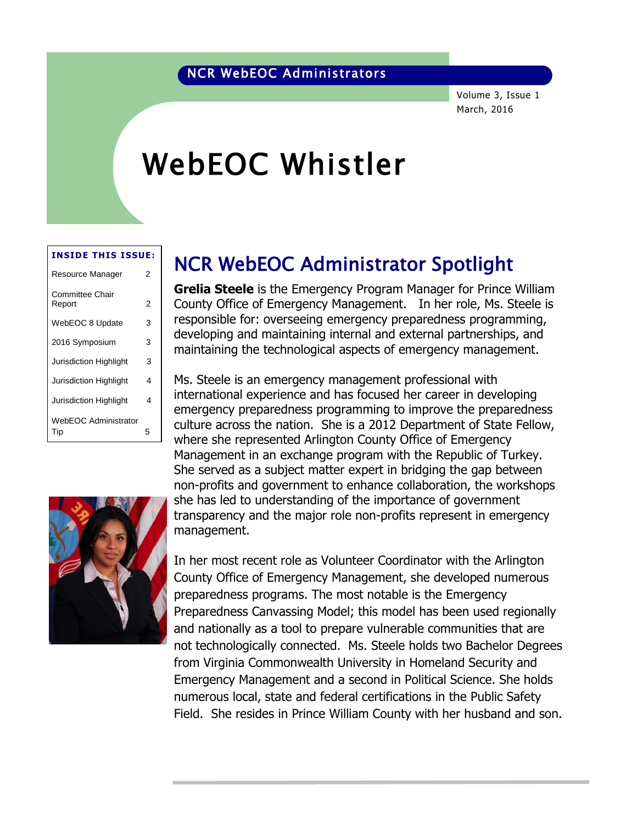### NCR WebEOC Administrators

Volume 3, Issue 1 March, 2016

# WebEOC Whistler

#### **INSIDE THIS ISSUE:**

| Resource Manager                   |   |  |  |  |  |
|------------------------------------|---|--|--|--|--|
| <b>Committee Chair</b><br>Report   | 2 |  |  |  |  |
| WebEOC 8 Update                    | 3 |  |  |  |  |
| 2016 Symposium                     | 3 |  |  |  |  |
| Jurisdiction Highlight             | 3 |  |  |  |  |
| <b>Jurisdiction Highlight</b>      | 4 |  |  |  |  |
| <b>Jurisdiction Highlight</b>      | 4 |  |  |  |  |
| <b>WebEOC Administrator</b><br>Tip | 5 |  |  |  |  |



### NCR WebEOC Administrator Spotlight

**Grelia Steele** is the Emergency Program Manager for Prince William County Office of Emergency Management. In her role, Ms. Steele is responsible for: overseeing emergency preparedness programming, developing and maintaining internal and external partnerships, and maintaining the technological aspects of emergency management.

Ms. Steele is an emergency management professional with international experience and has focused her career in developing emergency preparedness programming to improve the preparedness culture across the nation. She is a 2012 Department of State Fellow, where she represented Arlington County Office of Emergency Management in an exchange program with the Republic of Turkey. She served as a subject matter expert in bridging the gap between non-profits and government to enhance collaboration, the workshops she has led to understanding of the importance of government transparency and the major role non-profits represent in emergency management.

In her most recent role as Volunteer Coordinator with the Arlington County Office of Emergency Management, she developed numerous preparedness programs. The most notable is the Emergency Preparedness Canvassing Model; this model has been used regionally and nationally as a tool to prepare vulnerable communities that are not technologically connected. Ms. Steele holds two Bachelor Degrees from Virginia Commonwealth University in Homeland Security and Emergency Management and a second in Political Science. She holds numerous local, state and federal certifications in the Public Safety Field. She resides in Prince William County with her husband and son.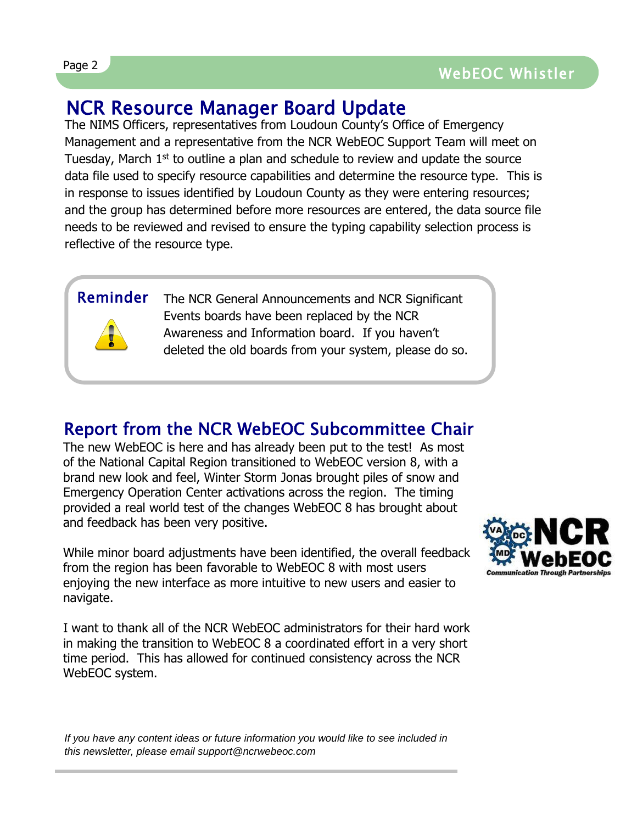## NCR Resource Manager Board Update

The NIMS Officers, representatives from Loudoun County's Office of Emergency Management and a representative from the NCR WebEOC Support Team will meet on Tuesday, March  $1<sup>st</sup>$  to outline a plan and schedule to review and update the source data file used to specify resource capabilities and determine the resource type. This is in response to issues identified by Loudoun County as they were entering resources; and the group has determined before more resources are entered, the data source file needs to be reviewed and revised to ensure the typing capability selection process is reflective of the resource type.

### Reminder

The NCR General Announcements and NCR Significant Events boards have been replaced by the NCR Awareness and Information board. If you haven't deleted the old boards from your system, please do so.

### Report from the NCR WebEOC Subcommittee Chair

The new WebEOC is here and has already been put to the test! As most of the National Capital Region transitioned to WebEOC version 8, with a brand new look and feel, Winter Storm Jonas brought piles of snow and Emergency Operation Center activations across the region. The timing provided a real world test of the changes WebEOC 8 has brought about and feedback has been very positive.

While minor board adjustments have been identified, the overall feedback from the region has been favorable to WebEOC 8 with most users enjoying the new interface as more intuitive to new users and easier to navigate.

I want to thank all of the NCR WebEOC administrators for their hard work in making the transition to WebEOC 8 a coordinated effort in a very short time period. This has allowed for continued consistency across the NCR WebEOC system.



*If you have any content ideas or future information you would like to see included in this newsletter, please email support@ncrwebeoc.com*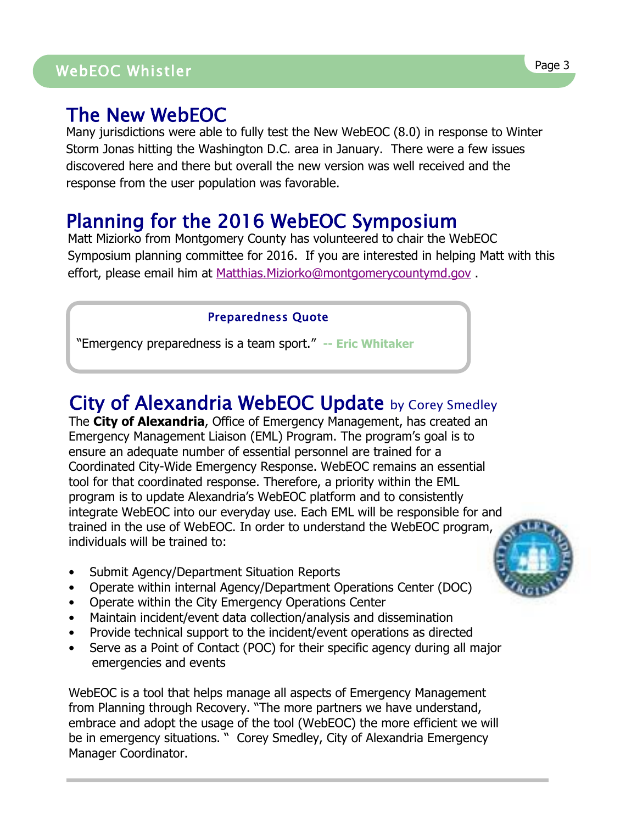## WebEOC Whistler Page 3 Page <sup>3</sup> WebEOC Whistler

### The New WebEOC

Many jurisdictions were able to fully test the New WebEOC (8.0) in response to Winter Storm Jonas hitting the Washington D.C. area in January. There were a few issues discovered here and there but overall the new version was well received and the response from the user population was favorable.

### Planning for the 2016 WebEOC Symposium

Matt Miziorko from Montgomery County has volunteered to chair the WebEOC Symposium planning committee for 2016. If you are interested in helping Matt with this effort, please email him at [Matthias.Miziorko@montgomerycountymd.gov](mailto:Matthias.Miziorko@montgomerycountymd.gov) .

### Preparedness Quote

"Emergency preparedness is a team sport." **-- Eric Whitaker**

## City of Alexandria WebEOC Update by Corey Smedley

The **City of Alexandria**, Office of Emergency Management, has created an Emergency Management Liaison (EML) Program. The program's goal is to ensure an adequate number of essential personnel are trained for a Coordinated City-Wide Emergency Response. WebEOC remains an essential tool for that coordinated response. Therefore, a priority within the EML program is to update Alexandria's WebEOC platform and to consistently integrate WebEOC into our everyday use. Each EML will be responsible for and trained in the use of WebEOC. In order to understand the WebEOC program, individuals will be trained to:

- Submit Agency/Department Situation Reports
- Operate within internal Agency/Department Operations Center (DOC)
- Operate within the City Emergency Operations Center
- Maintain incident/event data collection/analysis and dissemination
- Provide technical support to the incident/event operations as directed
- Serve as a Point of Contact (POC) for their specific agency during all major emergencies and events

WebEOC is a tool that helps manage all aspects of Emergency Management from Planning through Recovery. "The more partners we have understand, embrace and adopt the usage of the tool (WebEOC) the more efficient we will be in emergency situations. " Corey Smedley, City of Alexandria Emergency Manager Coordinator.

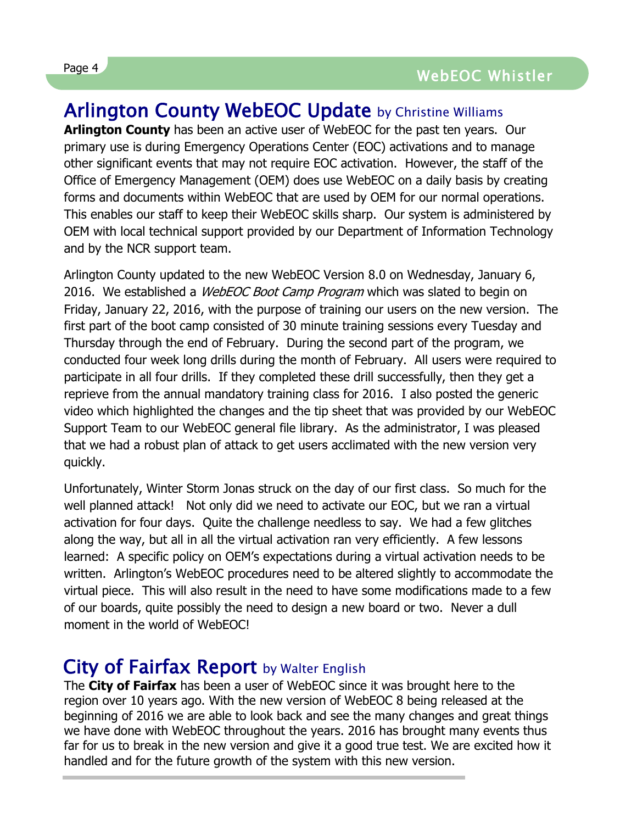## Arlington County WebEOC Update by Christine Williams

**Arlington County** has been an active user of WebEOC for the past ten years. Our primary use is during Emergency Operations Center (EOC) activations and to manage other significant events that may not require EOC activation. However, the staff of the Office of Emergency Management (OEM) does use WebEOC on a daily basis by creating forms and documents within WebEOC that are used by OEM for our normal operations. This enables our staff to keep their WebEOC skills sharp. Our system is administered by OEM with local technical support provided by our Department of Information Technology and by the NCR support team.

Arlington County updated to the new WebEOC Version 8.0 on Wednesday, January 6, 2016. We established a *WebEOC Boot Camp Program* which was slated to begin on Friday, January 22, 2016, with the purpose of training our users on the new version. The first part of the boot camp consisted of 30 minute training sessions every Tuesday and Thursday through the end of February. During the second part of the program, we conducted four week long drills during the month of February. All users were required to participate in all four drills. If they completed these drill successfully, then they get a reprieve from the annual mandatory training class for 2016. I also posted the generic video which highlighted the changes and the tip sheet that was provided by our WebEOC Support Team to our WebEOC general file library. As the administrator, I was pleased that we had a robust plan of attack to get users acclimated with the new version very quickly.

Unfortunately, Winter Storm Jonas struck on the day of our first class. So much for the well planned attack! Not only did we need to activate our EOC, but we ran a virtual activation for four days. Quite the challenge needless to say. We had a few glitches along the way, but all in all the virtual activation ran very efficiently. A few lessons learned: A specific policy on OEM's expectations during a virtual activation needs to be written. Arlington's WebEOC procedures need to be altered slightly to accommodate the virtual piece. This will also result in the need to have some modifications made to a few of our boards, quite possibly the need to design a new board or two. Never a dull moment in the world of WebEOC!

### City of Fairfax Report by Walter English

The **City of Fairfax** has been a user of WebEOC since it was brought here to the region over 10 years ago. With the new version of WebEOC 8 being released at the beginning of 2016 we are able to look back and see the many changes and great things we have done with WebEOC throughout the years. 2016 has brought many events thus far for us to break in the new version and give it a good true test. We are excited how it handled and for the future growth of the system with this new version.

 $\overline{a}$